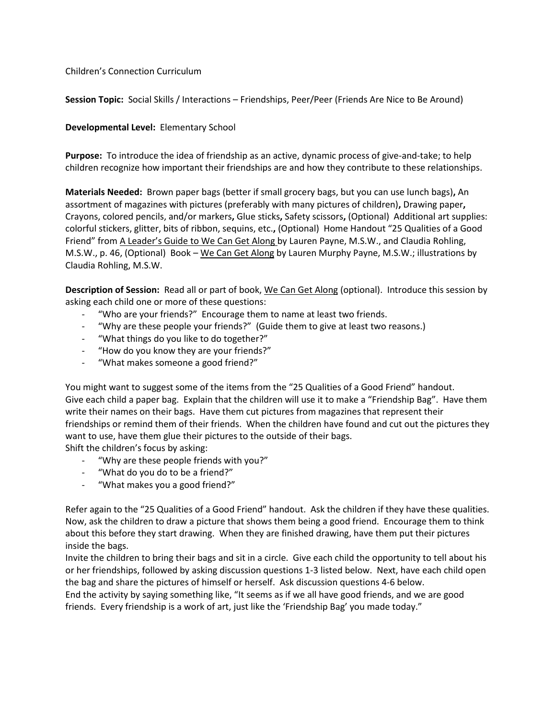Children's Connection Curriculum

**Session Topic:** Social Skills / Interactions – Friendships, Peer/Peer (Friends Are Nice to Be Around)

## **Developmental Level:** Elementary School

**Purpose:** To introduce the idea of friendship as an active, dynamic process of give-and-take; to help children recognize how important their friendships are and how they contribute to these relationships.

**Materials Needed:** Brown paper bags (better if small grocery bags, but you can use lunch bags)**,** An assortment of magazines with pictures (preferably with many pictures of children)**,** Drawing paper**,**  Crayons, colored pencils, and/or markers**,** Glue sticks**,** Safety scissors**,** (Optional) Additional art supplies: colorful stickers, glitter, bits of ribbon, sequins, etc.**,** (Optional) Home Handout "25 Qualities of a Good Friend" from A Leader's Guide to We Can Get Along by Lauren Payne, M.S.W., and Claudia Rohling, M.S.W., p. 46, (Optional) Book – We Can Get Along by Lauren Murphy Payne, M.S.W.; illustrations by Claudia Rohling, M.S.W.

**Description of Session:** Read all or part of book, We Can Get Along (optional). Introduce this session by asking each child one or more of these questions:

- "Who are your friends?" Encourage them to name at least two friends.
- "Why are these people your friends?" (Guide them to give at least two reasons.)
- "What things do you like to do together?"
- "How do you know they are your friends?"
- "What makes someone a good friend?"

You might want to suggest some of the items from the "25 Qualities of a Good Friend" handout. Give each child a paper bag. Explain that the children will use it to make a "Friendship Bag". Have them write their names on their bags. Have them cut pictures from magazines that represent their friendships or remind them of their friends. When the children have found and cut out the pictures they want to use, have them glue their pictures to the outside of their bags. Shift the children's focus by asking:

- "Why are these people friends with you?"
- "What do you do to be a friend?"
- "What makes you a good friend?"

Refer again to the "25 Qualities of a Good Friend" handout. Ask the children if they have these qualities. Now, ask the children to draw a picture that shows them being a good friend. Encourage them to think about this before they start drawing. When they are finished drawing, have them put their pictures inside the bags.

Invite the children to bring their bags and sit in a circle. Give each child the opportunity to tell about his or her friendships, followed by asking discussion questions 1-3 listed below. Next, have each child open the bag and share the pictures of himself or herself. Ask discussion questions 4-6 below.

End the activity by saying something like, "It seems as if we all have good friends, and we are good friends. Every friendship is a work of art, just like the 'Friendship Bag' you made today."